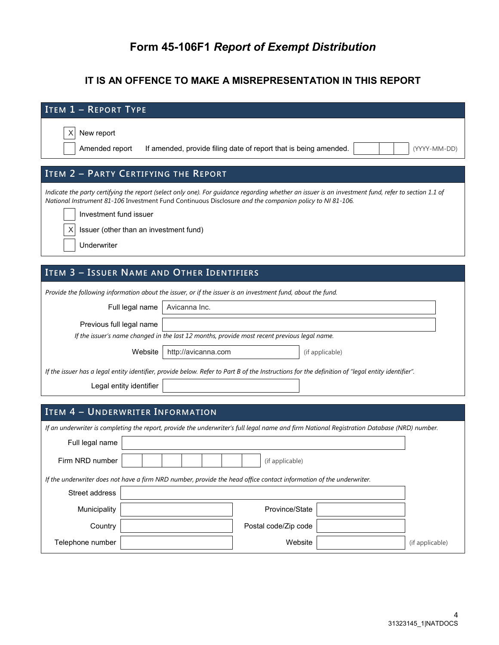# **Form 45-106F1** *Report of Exempt Distribution*

### **IT IS AN OFFENCE TO MAKE A MISREPRESENTATION IN THIS REPORT**

| <b>ITEM 1 - REPORT TYPE</b>                                                                                                                                                                                                                                    |  |  |  |  |  |  |  |
|----------------------------------------------------------------------------------------------------------------------------------------------------------------------------------------------------------------------------------------------------------------|--|--|--|--|--|--|--|
| New report<br>X<br>Amended report<br>If amended, provide filing date of report that is being amended.<br>(YYYY-MM-DD)                                                                                                                                          |  |  |  |  |  |  |  |
| ITEM 2 - PARTY CERTIFYING THE REPORT                                                                                                                                                                                                                           |  |  |  |  |  |  |  |
| Indicate the party certifying the report (select only one). For guidance regarding whether an issuer is an investment fund, refer to section 1.1 of<br>National Instrument 81-106 Investment Fund Continuous Disclosure and the companion policy to NI 81-106. |  |  |  |  |  |  |  |
| Investment fund issuer                                                                                                                                                                                                                                         |  |  |  |  |  |  |  |
| Issuer (other than an investment fund)                                                                                                                                                                                                                         |  |  |  |  |  |  |  |
| Underwriter                                                                                                                                                                                                                                                    |  |  |  |  |  |  |  |
|                                                                                                                                                                                                                                                                |  |  |  |  |  |  |  |
| ITEM 3 - ISSUER NAME AND OTHER IDENTIFIERS                                                                                                                                                                                                                     |  |  |  |  |  |  |  |
| Provide the following information about the issuer, or if the issuer is an investment fund, about the fund.                                                                                                                                                    |  |  |  |  |  |  |  |
| Avicanna Inc.<br>Full legal name                                                                                                                                                                                                                               |  |  |  |  |  |  |  |
| Previous full legal name                                                                                                                                                                                                                                       |  |  |  |  |  |  |  |
| If the issuer's name changed in the last 12 months, provide most recent previous legal name.                                                                                                                                                                   |  |  |  |  |  |  |  |
| Website<br>http://avicanna.com<br>(if applicable)                                                                                                                                                                                                              |  |  |  |  |  |  |  |
| If the issuer has a legal entity identifier, provide below. Refer to Part B of the Instructions for the definition of "legal entity identifier".                                                                                                               |  |  |  |  |  |  |  |
| Legal entity identifier                                                                                                                                                                                                                                        |  |  |  |  |  |  |  |
|                                                                                                                                                                                                                                                                |  |  |  |  |  |  |  |
| <b>ITEM 4 - UNDERWRITER INFORMATION</b>                                                                                                                                                                                                                        |  |  |  |  |  |  |  |
| If an underwriter is completing the report, provide the underwriter's full legal name and firm National Registration Database (NRD) number.                                                                                                                    |  |  |  |  |  |  |  |
| Full legal name                                                                                                                                                                                                                                                |  |  |  |  |  |  |  |
| Firm NRD number<br>(if applicable)                                                                                                                                                                                                                             |  |  |  |  |  |  |  |
| If the underwriter does not have a firm NRD number, provide the head office contact information of the underwriter.                                                                                                                                            |  |  |  |  |  |  |  |
| Street address                                                                                                                                                                                                                                                 |  |  |  |  |  |  |  |
| Municipality<br>Province/State                                                                                                                                                                                                                                 |  |  |  |  |  |  |  |
| Country<br>Postal code/Zip code                                                                                                                                                                                                                                |  |  |  |  |  |  |  |
| Website<br>Telephone number<br>(if applicable)                                                                                                                                                                                                                 |  |  |  |  |  |  |  |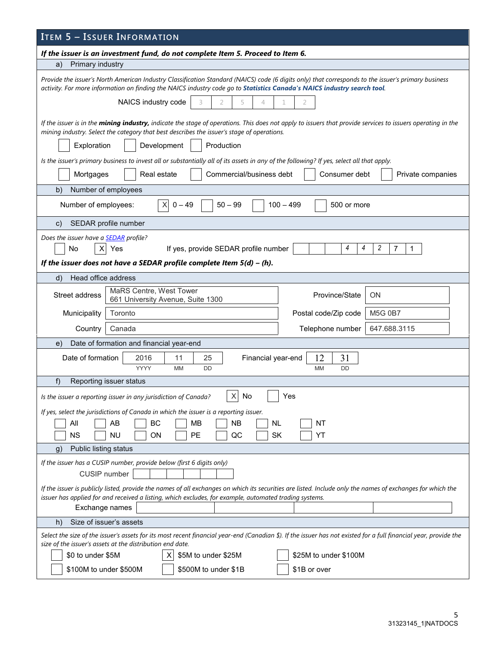| <b>ITEM 5 - ISSUER INFORMATION</b>                                                                                                                                                                                                                                             |  |  |  |  |  |  |  |
|--------------------------------------------------------------------------------------------------------------------------------------------------------------------------------------------------------------------------------------------------------------------------------|--|--|--|--|--|--|--|
| If the issuer is an investment fund, do not complete Item 5. Proceed to Item 6.                                                                                                                                                                                                |  |  |  |  |  |  |  |
| Primary industry<br>a)                                                                                                                                                                                                                                                         |  |  |  |  |  |  |  |
| Provide the issuer's North American Industry Classification Standard (NAICS) code (6 digits only) that corresponds to the issuer's primary business<br>activity. For more information on finding the NAICS industry code go to Statistics Canada's NAICS industry search tool. |  |  |  |  |  |  |  |
| NAICS industry code<br>3<br>2<br>5<br>4<br>2                                                                                                                                                                                                                                   |  |  |  |  |  |  |  |
| If the issuer is in the mining industry, indicate the stage of operations. This does not apply to issuers that provide services to issuers operating in the<br>mining industry. Select the category that best describes the issuer's stage of operations.                      |  |  |  |  |  |  |  |
| Production<br>Development<br>Exploration                                                                                                                                                                                                                                       |  |  |  |  |  |  |  |
| Is the issuer's primary business to invest all or substantially all of its assets in any of the following? If yes, select all that apply.<br>Real estate<br>Commercial/business debt<br>Consumer debt<br>Mortgages<br>Private companies                                        |  |  |  |  |  |  |  |
| b)<br>Number of employees                                                                                                                                                                                                                                                      |  |  |  |  |  |  |  |
| X<br>Number of employees:<br>$0 - 49$<br>$50 - 99$<br>$100 - 499$<br>500 or more                                                                                                                                                                                               |  |  |  |  |  |  |  |
| SEDAR profile number<br>$\mathsf{C}$ )                                                                                                                                                                                                                                         |  |  |  |  |  |  |  |
| Does the issuer have a <b>SEDAR</b> profile?<br>2<br>4<br>4<br>7<br>No<br>Yes<br>If yes, provide SEDAR profile number<br>1<br>X                                                                                                                                                |  |  |  |  |  |  |  |
| If the issuer does not have a SEDAR profile complete Item $5(d) - (h)$ .                                                                                                                                                                                                       |  |  |  |  |  |  |  |
| Head office address<br>d)                                                                                                                                                                                                                                                      |  |  |  |  |  |  |  |
| MaRS Centre, West Tower<br>Street address<br>Province/State<br>ΟN<br>661 University Avenue, Suite 1300                                                                                                                                                                         |  |  |  |  |  |  |  |
| Postal code/Zip code<br><b>M5G 0B7</b><br>Municipality<br>Toronto                                                                                                                                                                                                              |  |  |  |  |  |  |  |
| 647.688.3115<br>Country<br>Canada<br>Telephone number                                                                                                                                                                                                                          |  |  |  |  |  |  |  |
| Date of formation and financial year-end<br>e)                                                                                                                                                                                                                                 |  |  |  |  |  |  |  |
| 12<br>31<br>Date of formation<br>2016<br>11<br>25<br>Financial year-end<br><b>YYYY</b><br>MM<br><b>DD</b><br>MM<br><b>DD</b>                                                                                                                                                   |  |  |  |  |  |  |  |
| f)<br>Reporting issuer status                                                                                                                                                                                                                                                  |  |  |  |  |  |  |  |
| X<br>No<br>Yes<br>Is the issuer a reporting issuer in any jurisdiction of Canada?                                                                                                                                                                                              |  |  |  |  |  |  |  |
| If yes, select the jurisdictions of Canada in which the issuer is a reporting issuer.                                                                                                                                                                                          |  |  |  |  |  |  |  |
| All<br>BC<br>MB<br><b>NB</b><br>AB<br><b>NL</b><br>NT                                                                                                                                                                                                                          |  |  |  |  |  |  |  |
| <b>NS</b><br><b>NU</b><br>ON<br>PE<br>QC<br>SK<br>YT                                                                                                                                                                                                                           |  |  |  |  |  |  |  |
| Public listing status<br>$\mathfrak{g}$ )                                                                                                                                                                                                                                      |  |  |  |  |  |  |  |
| If the issuer has a CUSIP number, provide below (first 6 digits only)<br><b>CUSIP</b> number                                                                                                                                                                                   |  |  |  |  |  |  |  |
| If the issuer is publicly listed, provide the names of all exchanges on which its securities are listed. Include only the names of exchanges for which the<br>issuer has applied for and received a listing, which excludes, for example, automated trading systems.           |  |  |  |  |  |  |  |
| Exchange names                                                                                                                                                                                                                                                                 |  |  |  |  |  |  |  |
| Size of issuer's assets<br>h)                                                                                                                                                                                                                                                  |  |  |  |  |  |  |  |
| Select the size of the issuer's assets for its most recent financial year-end (Canadian \$). If the issuer has not existed for a full financial year, provide the<br>size of the issuer's assets at the distribution end date.                                                 |  |  |  |  |  |  |  |
| \$25M to under \$100M<br>\$0 to under \$5M<br>\$5M to under \$25M<br>x                                                                                                                                                                                                         |  |  |  |  |  |  |  |
| \$100M to under \$500M<br>\$500M to under \$1B<br>\$1B or over                                                                                                                                                                                                                 |  |  |  |  |  |  |  |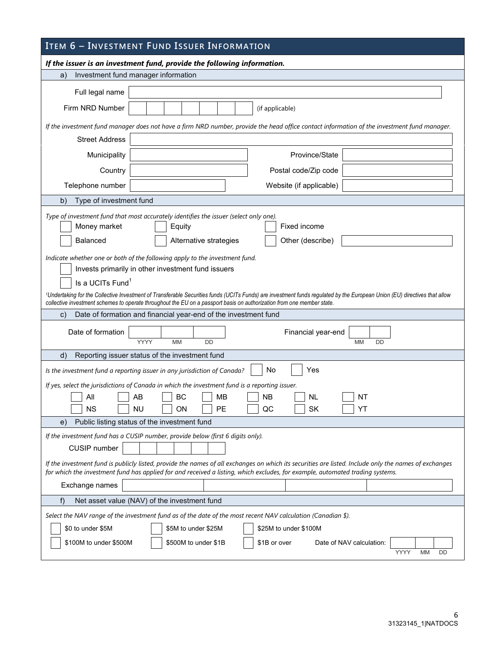## **ITEM 6 – INVESTMENT FUND ISSUER INFORMATION**

|                                                                                                                                                                                                                                                                                                                                                                | If the issuer is an investment fund, provide the following information.                                                                                                                                                                                                                                         |  |  |  |  |  |  |  |
|----------------------------------------------------------------------------------------------------------------------------------------------------------------------------------------------------------------------------------------------------------------------------------------------------------------------------------------------------------------|-----------------------------------------------------------------------------------------------------------------------------------------------------------------------------------------------------------------------------------------------------------------------------------------------------------------|--|--|--|--|--|--|--|
| a)                                                                                                                                                                                                                                                                                                                                                             | Investment fund manager information                                                                                                                                                                                                                                                                             |  |  |  |  |  |  |  |
| Full legal name                                                                                                                                                                                                                                                                                                                                                |                                                                                                                                                                                                                                                                                                                 |  |  |  |  |  |  |  |
| Firm NRD Number                                                                                                                                                                                                                                                                                                                                                | (if applicable)                                                                                                                                                                                                                                                                                                 |  |  |  |  |  |  |  |
|                                                                                                                                                                                                                                                                                                                                                                | If the investment fund manager does not have a firm NRD number, provide the head office contact information of the investment fund manager.                                                                                                                                                                     |  |  |  |  |  |  |  |
| <b>Street Address</b>                                                                                                                                                                                                                                                                                                                                          |                                                                                                                                                                                                                                                                                                                 |  |  |  |  |  |  |  |
| Municipality                                                                                                                                                                                                                                                                                                                                                   | Province/State                                                                                                                                                                                                                                                                                                  |  |  |  |  |  |  |  |
| Country                                                                                                                                                                                                                                                                                                                                                        | Postal code/Zip code                                                                                                                                                                                                                                                                                            |  |  |  |  |  |  |  |
| Telephone number                                                                                                                                                                                                                                                                                                                                               | Website (if applicable)                                                                                                                                                                                                                                                                                         |  |  |  |  |  |  |  |
| Type of investment fund<br>b)                                                                                                                                                                                                                                                                                                                                  |                                                                                                                                                                                                                                                                                                                 |  |  |  |  |  |  |  |
| Type of investment fund that most accurately identifies the issuer (select only one).<br>Money market<br>Fixed income<br>Equity<br>Balanced<br>Alternative strategies<br>Other (describe)<br>Indicate whether one or both of the following apply to the investment fund.<br>Invests primarily in other investment fund issuers<br>Is a UCITs Fund <sup>1</sup> |                                                                                                                                                                                                                                                                                                                 |  |  |  |  |  |  |  |
|                                                                                                                                                                                                                                                                                                                                                                | <sup>1</sup> Undertaking for the Collective Investment of Transferable Securities funds (UCITs Funds) are investment funds regulated by the European Union (EU) directives that allow<br>collective investment schemes to operate throughout the EU on a passport basis on authorization from one member state. |  |  |  |  |  |  |  |
| C)                                                                                                                                                                                                                                                                                                                                                             | Date of formation and financial year-end of the investment fund                                                                                                                                                                                                                                                 |  |  |  |  |  |  |  |
| Date of formation                                                                                                                                                                                                                                                                                                                                              | Financial year-end<br>YYYY<br><b>MM</b><br><b>DD</b><br><b>MM</b><br>DD                                                                                                                                                                                                                                         |  |  |  |  |  |  |  |
| d)                                                                                                                                                                                                                                                                                                                                                             | Reporting issuer status of the investment fund                                                                                                                                                                                                                                                                  |  |  |  |  |  |  |  |
|                                                                                                                                                                                                                                                                                                                                                                | No<br>Yes<br>Is the investment fund a reporting issuer in any jurisdiction of Canada?                                                                                                                                                                                                                           |  |  |  |  |  |  |  |
| All<br>ΝS                                                                                                                                                                                                                                                                                                                                                      | If yes, select the jurisdictions of Canada in which the investment fund is a reporting issuer.<br>BC<br><b>NB</b><br>AB<br>MВ<br>NL<br>NT<br>PЕ<br>QC<br><b>SK</b><br>ΝU<br>ΟN<br>YT                                                                                                                            |  |  |  |  |  |  |  |
| e)                                                                                                                                                                                                                                                                                                                                                             | Public listing status of the investment fund                                                                                                                                                                                                                                                                    |  |  |  |  |  |  |  |
| CUSIP number                                                                                                                                                                                                                                                                                                                                                   | If the investment fund has a CUSIP number, provide below (first 6 digits only).                                                                                                                                                                                                                                 |  |  |  |  |  |  |  |
| Exchange names                                                                                                                                                                                                                                                                                                                                                 | If the investment fund is publicly listed, provide the names of all exchanges on which its securities are listed. Include only the names of exchanges<br>for which the investment fund has applied for and received a listing, which excludes, for example, automated trading systems.                          |  |  |  |  |  |  |  |
| f)                                                                                                                                                                                                                                                                                                                                                             | Net asset value (NAV) of the investment fund                                                                                                                                                                                                                                                                    |  |  |  |  |  |  |  |
| \$0 to under \$5M<br>\$100M to under \$500M                                                                                                                                                                                                                                                                                                                    | Select the NAV range of the investment fund as of the date of the most recent NAV calculation (Canadian \$).<br>\$5M to under \$25M<br>\$25M to under \$100M<br>\$500M to under \$1B<br>Date of NAV calculation:<br>\$1B or over<br>YYYY<br>MM<br>DD                                                            |  |  |  |  |  |  |  |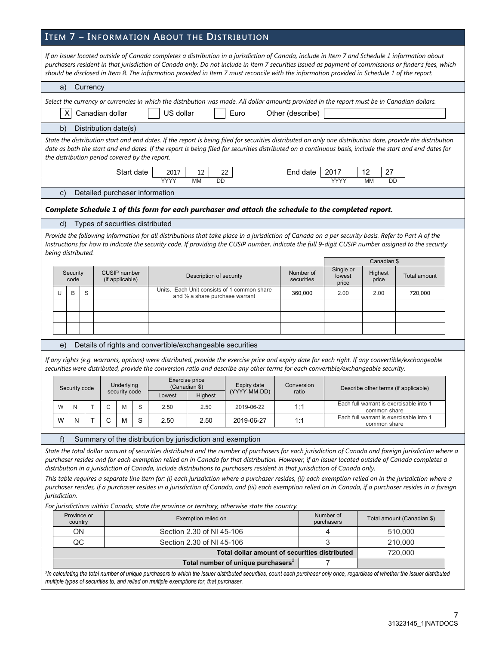## **ITEM 7 – INFORMATION ABOUT THE DISTRIBUTION**

| If an issuer located outside of Canada completes a distribution in a jurisdiction of Canada, include in Item 7 and Schedule 1 information about<br>purchasers resident in that jurisdiction of Canada only. Do not include in Item 7 securities issued as payment of commissions or finder's fees, which<br>should be disclosed in Item 8. The information provided in Item 7 must reconcile with the information provided in Schedule 1 of the report. |                                                                                                                                                                                                                                                                                                                                                                           |          |                      |                                        |   |                                                           |                                            |                                                                                                                                                                                                                                                                                           |                         |                              |                                                         |                                                                                                                                                          |
|---------------------------------------------------------------------------------------------------------------------------------------------------------------------------------------------------------------------------------------------------------------------------------------------------------------------------------------------------------------------------------------------------------------------------------------------------------|---------------------------------------------------------------------------------------------------------------------------------------------------------------------------------------------------------------------------------------------------------------------------------------------------------------------------------------------------------------------------|----------|----------------------|----------------------------------------|---|-----------------------------------------------------------|--------------------------------------------|-------------------------------------------------------------------------------------------------------------------------------------------------------------------------------------------------------------------------------------------------------------------------------------------|-------------------------|------------------------------|---------------------------------------------------------|----------------------------------------------------------------------------------------------------------------------------------------------------------|
| a)                                                                                                                                                                                                                                                                                                                                                                                                                                                      |                                                                                                                                                                                                                                                                                                                                                                           | Currency |                      |                                        |   |                                                           |                                            |                                                                                                                                                                                                                                                                                           |                         |                              |                                                         |                                                                                                                                                          |
|                                                                                                                                                                                                                                                                                                                                                                                                                                                         | Select the currency or currencies in which the distribution was made. All dollar amounts provided in the report must be in Canadian dollars.<br>Canadian dollar<br>US dollar<br>Euro<br>Other (describe)<br>x                                                                                                                                                             |          |                      |                                        |   |                                                           |                                            |                                                                                                                                                                                                                                                                                           |                         |                              |                                                         |                                                                                                                                                          |
| b)                                                                                                                                                                                                                                                                                                                                                                                                                                                      |                                                                                                                                                                                                                                                                                                                                                                           |          | Distribution date(s) |                                        |   |                                                           |                                            |                                                                                                                                                                                                                                                                                           |                         |                              |                                                         |                                                                                                                                                          |
|                                                                                                                                                                                                                                                                                                                                                                                                                                                         | State the distribution start and end dates. If the report is being filed for securities distributed on only one distribution date, provide the distribution<br>date as both the start and end dates. If the report is being filed for securities distributed on a continuous basis, include the start and end dates for<br>the distribution period covered by the report. |          |                      |                                        |   |                                                           |                                            |                                                                                                                                                                                                                                                                                           |                         |                              |                                                         |                                                                                                                                                          |
|                                                                                                                                                                                                                                                                                                                                                                                                                                                         |                                                                                                                                                                                                                                                                                                                                                                           |          |                      | Start date                             |   | 2017<br>YYYY                                              | 12<br><b>MM</b><br><b>DD</b>               | 22                                                                                                                                                                                                                                                                                        | End date                | 2017<br>YYYY                 | 27<br>12<br><b>MM</b><br><b>DD</b>                      |                                                                                                                                                          |
| C)                                                                                                                                                                                                                                                                                                                                                                                                                                                      |                                                                                                                                                                                                                                                                                                                                                                           |          |                      |                                        |   | Detailed purchaser information                            |                                            |                                                                                                                                                                                                                                                                                           |                         |                              |                                                         |                                                                                                                                                          |
|                                                                                                                                                                                                                                                                                                                                                                                                                                                         |                                                                                                                                                                                                                                                                                                                                                                           |          |                      |                                        |   |                                                           |                                            | Complete Schedule 1 of this form for each purchaser and attach the schedule to the completed report.                                                                                                                                                                                      |                         |                              |                                                         |                                                                                                                                                          |
| d)                                                                                                                                                                                                                                                                                                                                                                                                                                                      |                                                                                                                                                                                                                                                                                                                                                                           |          |                      |                                        |   | Types of securities distributed                           |                                            |                                                                                                                                                                                                                                                                                           |                         |                              |                                                         |                                                                                                                                                          |
|                                                                                                                                                                                                                                                                                                                                                                                                                                                         |                                                                                                                                                                                                                                                                                                                                                                           |          |                      |                                        |   |                                                           |                                            | Provide the following information for all distributions that take place in a jurisdiction of Canada on a per security basis. Refer to Part A of the                                                                                                                                       |                         |                              |                                                         |                                                                                                                                                          |
|                                                                                                                                                                                                                                                                                                                                                                                                                                                         |                                                                                                                                                                                                                                                                                                                                                                           |          |                      |                                        |   |                                                           |                                            |                                                                                                                                                                                                                                                                                           |                         |                              |                                                         | Instructions for how to indicate the security code. If providing the CUSIP number, indicate the full 9-digit CUSIP number assigned to the security       |
| being distributed.                                                                                                                                                                                                                                                                                                                                                                                                                                      |                                                                                                                                                                                                                                                                                                                                                                           |          |                      |                                        |   |                                                           |                                            |                                                                                                                                                                                                                                                                                           |                         |                              | Canadian \$                                             |                                                                                                                                                          |
|                                                                                                                                                                                                                                                                                                                                                                                                                                                         | Security<br>code                                                                                                                                                                                                                                                                                                                                                          |          |                      | <b>CUSIP</b> number<br>(if applicable) |   |                                                           | Description of security                    |                                                                                                                                                                                                                                                                                           | Number of<br>securities | Single or<br>lowest<br>price | Highest<br>price                                        | <b>Total amount</b>                                                                                                                                      |
| U                                                                                                                                                                                                                                                                                                                                                                                                                                                       | B                                                                                                                                                                                                                                                                                                                                                                         | S        |                      |                                        |   |                                                           | and $\frac{1}{2}$ a share purchase warrant | Units. Each Unit consists of 1 common share                                                                                                                                                                                                                                               | 360,000                 | 2.00                         | 2.00                                                    | 720,000                                                                                                                                                  |
|                                                                                                                                                                                                                                                                                                                                                                                                                                                         |                                                                                                                                                                                                                                                                                                                                                                           |          |                      |                                        |   |                                                           |                                            |                                                                                                                                                                                                                                                                                           |                         |                              |                                                         |                                                                                                                                                          |
|                                                                                                                                                                                                                                                                                                                                                                                                                                                         |                                                                                                                                                                                                                                                                                                                                                                           |          |                      |                                        |   |                                                           |                                            |                                                                                                                                                                                                                                                                                           |                         |                              |                                                         |                                                                                                                                                          |
|                                                                                                                                                                                                                                                                                                                                                                                                                                                         |                                                                                                                                                                                                                                                                                                                                                                           |          |                      |                                        |   |                                                           |                                            |                                                                                                                                                                                                                                                                                           |                         |                              |                                                         |                                                                                                                                                          |
| e)                                                                                                                                                                                                                                                                                                                                                                                                                                                      |                                                                                                                                                                                                                                                                                                                                                                           |          |                      |                                        |   | Details of rights and convertible/exchangeable securities |                                            |                                                                                                                                                                                                                                                                                           |                         |                              |                                                         |                                                                                                                                                          |
|                                                                                                                                                                                                                                                                                                                                                                                                                                                         |                                                                                                                                                                                                                                                                                                                                                                           |          |                      |                                        |   |                                                           |                                            | If any rights (e.g. warrants, options) were distributed, provide the exercise price and expiry date for each right. If any convertible/exchangeable<br>securities were distributed, provide the conversion ratio and describe any other terms for each convertible/exchangeable security. |                         |                              |                                                         |                                                                                                                                                          |
|                                                                                                                                                                                                                                                                                                                                                                                                                                                         | Security code                                                                                                                                                                                                                                                                                                                                                             |          |                      | Underlying<br>security code            |   | Exercise price<br>(Canadian \$)<br>Lowest                 | <b>Highest</b>                             | Expiry date<br>(YYYY-MM-DD)                                                                                                                                                                                                                                                               | Conversion<br>ratio     |                              | Describe other terms (if applicable)                    |                                                                                                                                                          |
| W                                                                                                                                                                                                                                                                                                                                                                                                                                                       | N                                                                                                                                                                                                                                                                                                                                                                         | т        | С                    | M                                      | S | 2.50                                                      | 2.50                                       | 2019-06-22                                                                                                                                                                                                                                                                                | 1:1                     |                              | Each full warrant is exercisable into 1<br>common snare |                                                                                                                                                          |
| W                                                                                                                                                                                                                                                                                                                                                                                                                                                       | N                                                                                                                                                                                                                                                                                                                                                                         | т        | C                    | М                                      | S | 2.50                                                      | 2.50                                       | 2019-06-27                                                                                                                                                                                                                                                                                | 1:1                     |                              | Each full warrant is exercisable into 1<br>common share |                                                                                                                                                          |
| f)                                                                                                                                                                                                                                                                                                                                                                                                                                                      |                                                                                                                                                                                                                                                                                                                                                                           |          |                      |                                        |   | Summary of the distribution by jurisdiction and exemption |                                            |                                                                                                                                                                                                                                                                                           |                         |                              |                                                         |                                                                                                                                                          |
|                                                                                                                                                                                                                                                                                                                                                                                                                                                         |                                                                                                                                                                                                                                                                                                                                                                           |          |                      |                                        |   |                                                           |                                            |                                                                                                                                                                                                                                                                                           |                         |                              |                                                         | State the total dollar amount of securities distributed and the number of purchasers for each jurisdiction of Canada and foreign jurisdiction where a    |
|                                                                                                                                                                                                                                                                                                                                                                                                                                                         |                                                                                                                                                                                                                                                                                                                                                                           |          |                      |                                        |   |                                                           |                                            |                                                                                                                                                                                                                                                                                           |                         |                              |                                                         | purchaser resides and for each exemption relied on in Canada for that distribution. However, if an issuer located outside of Canada completes a          |
|                                                                                                                                                                                                                                                                                                                                                                                                                                                         |                                                                                                                                                                                                                                                                                                                                                                           |          |                      |                                        |   |                                                           |                                            | distribution in a jurisdiction of Canada, include distributions to purchasers resident in that jurisdiction of Canada only.                                                                                                                                                               |                         |                              |                                                         | This table requires a separate line item for: (i) each jurisdiction where a purchaser resides, (ii) each exemption relied on in the jurisdiction where a |
| jurisdiction.                                                                                                                                                                                                                                                                                                                                                                                                                                           |                                                                                                                                                                                                                                                                                                                                                                           |          |                      |                                        |   |                                                           |                                            |                                                                                                                                                                                                                                                                                           |                         |                              |                                                         | purchaser resides, if a purchaser resides in a jurisdiction of Canada, and (iii) each exemption relied on in Canada, if a purchaser resides in a foreign |
|                                                                                                                                                                                                                                                                                                                                                                                                                                                         |                                                                                                                                                                                                                                                                                                                                                                           |          |                      |                                        |   |                                                           |                                            | For jurisdictions within Canada, state the province or territory, otherwise state the country.                                                                                                                                                                                            |                         |                              |                                                         |                                                                                                                                                          |
|                                                                                                                                                                                                                                                                                                                                                                                                                                                         | Province or<br>country                                                                                                                                                                                                                                                                                                                                                    |          |                      |                                        |   |                                                           | Exemption relied on                        |                                                                                                                                                                                                                                                                                           |                         | Number of<br>purchasers      |                                                         | Total amount (Canadian \$)                                                                                                                               |
|                                                                                                                                                                                                                                                                                                                                                                                                                                                         | ON                                                                                                                                                                                                                                                                                                                                                                        |          |                      |                                        |   |                                                           | Section 2.30 of NI 45-106                  |                                                                                                                                                                                                                                                                                           |                         | 4                            |                                                         | 510,000                                                                                                                                                  |
|                                                                                                                                                                                                                                                                                                                                                                                                                                                         | QC                                                                                                                                                                                                                                                                                                                                                                        |          |                      |                                        |   |                                                           | Section 2.30 of NI 45-106                  |                                                                                                                                                                                                                                                                                           |                         | 3                            |                                                         | 210,000                                                                                                                                                  |
|                                                                                                                                                                                                                                                                                                                                                                                                                                                         |                                                                                                                                                                                                                                                                                                                                                                           |          |                      |                                        |   |                                                           |                                            | Total dollar amount of securities distributed<br>Total number of unique purchasers <sup>2</sup>                                                                                                                                                                                           |                         | 7                            |                                                         | 720,000                                                                                                                                                  |
|                                                                                                                                                                                                                                                                                                                                                                                                                                                         |                                                                                                                                                                                                                                                                                                                                                                           |          |                      |                                        |   |                                                           |                                            |                                                                                                                                                                                                                                                                                           |                         |                              |                                                         |                                                                                                                                                          |

*2 In calculating the total number of unique purchasers to which the issuer distributed securities, count each purchaser only once, regardless of whether the issuer distributed multiple types of securities to, and relied on multiple exemptions for, that purchaser.*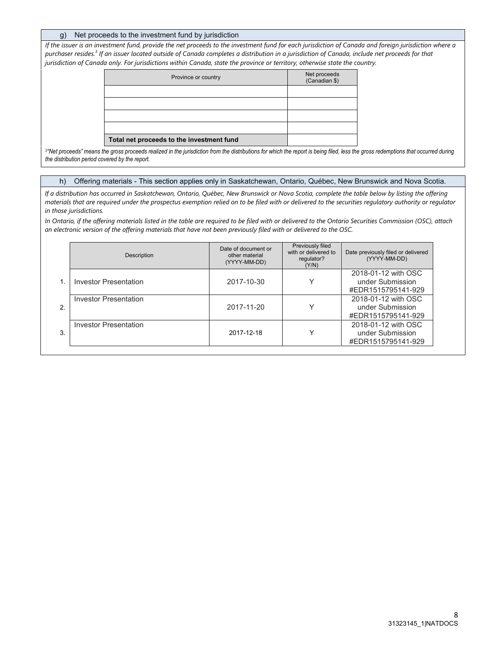#### g) Net proceeds to the investment fund by jurisdiction

*If the issuer is an investment fund, provide the net proceeds to the investment fund for each jurisdiction of Canada and foreign jurisdiction where a purchaser resides.<sup>3</sup> If an issuer located outside of Canada completes a distribution in a jurisdiction of Canada, include net proceeds for that jurisdiction of Canada only. For jurisdictions within Canada, state the province or territory, otherwise state the country.*

| Province or country                       | Net proceeds<br>(Canadian \$) |
|-------------------------------------------|-------------------------------|
|                                           |                               |
|                                           |                               |
|                                           |                               |
|                                           |                               |
| Total net proceeds to the investment fund |                               |

*3 "Net proceeds" means the gross proceeds realized in the jurisdiction from the distributions for which the report is being filed, less the gross redemptions that occurred during the distribution period covered by the report.* 

#### h) Offering materials - This section applies only in Saskatchewan, Ontario, Québec, New Brunswick and Nova Scotia.

*If a distribution has occurred in Saskatchewan, Ontario, Québec, New Brunswick or Nova Scotia, complete the table below by listing the offering materials that are required under the prospectus exemption relied on to be filed with or delivered to the securities regulatory authority or regulator in those jurisdictions.* 

*In Ontario, if the offering materials listed in the table are required to be filed with or delivered to the Ontario Securities Commission (OSC), attach an electronic version of the offering materials that have not been previously filed with or delivered to the OSC.* 

|    | Description                  | Date of document or<br>other material<br>(YYYY-MM-DD) | Previously filed<br>with or delivered to<br>regulator?<br>(Y/N) | Date previously filed or delivered<br>(YYYY-MM-DD)            |
|----|------------------------------|-------------------------------------------------------|-----------------------------------------------------------------|---------------------------------------------------------------|
|    | Investor Presentation        | 2017-10-30                                            | $\checkmark$                                                    | 2018-01-12 with OSC<br>under Submission<br>#EDR1515795141-929 |
| 2. | <b>Investor Presentation</b> | 2017-11-20                                            | $\checkmark$                                                    | 2018-01-12 with OSC<br>under Submission<br>#EDR1515795141-929 |
| 3  | Investor Presentation        | 2017-12-18                                            | v                                                               | 2018-01-12 with OSC<br>under Submission<br>#EDR1515795141-929 |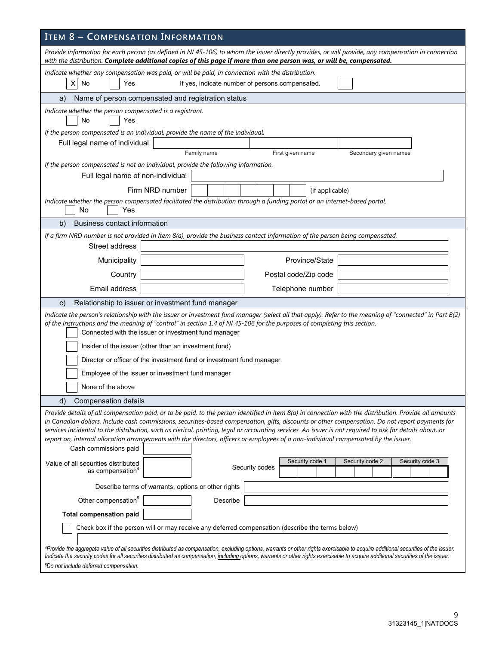| <b>ITEM 8 - COMPENSATION INFORMATION</b>                                                                                                                                                                                                                                                                                                                                                                                                                                                                                                                                                                                                  |  |  |  |  |  |  |  |
|-------------------------------------------------------------------------------------------------------------------------------------------------------------------------------------------------------------------------------------------------------------------------------------------------------------------------------------------------------------------------------------------------------------------------------------------------------------------------------------------------------------------------------------------------------------------------------------------------------------------------------------------|--|--|--|--|--|--|--|
| Provide information for each person (as defined in NI 45-106) to whom the issuer directly provides, or will provide, any compensation in connection<br>with the distribution. Complete additional copies of this page if more than one person was, or will be, compensated.                                                                                                                                                                                                                                                                                                                                                               |  |  |  |  |  |  |  |
| Indicate whether any compensation was paid, or will be paid, in connection with the distribution.<br>No<br>If yes, indicate number of persons compensated.<br>X<br>Yes                                                                                                                                                                                                                                                                                                                                                                                                                                                                    |  |  |  |  |  |  |  |
| Name of person compensated and registration status<br>a)                                                                                                                                                                                                                                                                                                                                                                                                                                                                                                                                                                                  |  |  |  |  |  |  |  |
| Indicate whether the person compensated is a registrant.<br>No<br>Yes                                                                                                                                                                                                                                                                                                                                                                                                                                                                                                                                                                     |  |  |  |  |  |  |  |
| If the person compensated is an individual, provide the name of the individual.                                                                                                                                                                                                                                                                                                                                                                                                                                                                                                                                                           |  |  |  |  |  |  |  |
| Full legal name of individual<br>Family name                                                                                                                                                                                                                                                                                                                                                                                                                                                                                                                                                                                              |  |  |  |  |  |  |  |
| First given name<br>Secondary given names<br>If the person compensated is not an individual, provide the following information.                                                                                                                                                                                                                                                                                                                                                                                                                                                                                                           |  |  |  |  |  |  |  |
| Full legal name of non-individual                                                                                                                                                                                                                                                                                                                                                                                                                                                                                                                                                                                                         |  |  |  |  |  |  |  |
| Firm NRD number<br>(if applicable)                                                                                                                                                                                                                                                                                                                                                                                                                                                                                                                                                                                                        |  |  |  |  |  |  |  |
| Indicate whether the person compensated facilitated the distribution through a funding portal or an internet-based portal.                                                                                                                                                                                                                                                                                                                                                                                                                                                                                                                |  |  |  |  |  |  |  |
| No<br>Yes                                                                                                                                                                                                                                                                                                                                                                                                                                                                                                                                                                                                                                 |  |  |  |  |  |  |  |
| <b>Business contact information</b><br>b)                                                                                                                                                                                                                                                                                                                                                                                                                                                                                                                                                                                                 |  |  |  |  |  |  |  |
| If a firm NRD number is not provided in Item 8(a), provide the business contact information of the person being compensated.                                                                                                                                                                                                                                                                                                                                                                                                                                                                                                              |  |  |  |  |  |  |  |
| Street address                                                                                                                                                                                                                                                                                                                                                                                                                                                                                                                                                                                                                            |  |  |  |  |  |  |  |
| Province/State<br>Municipality                                                                                                                                                                                                                                                                                                                                                                                                                                                                                                                                                                                                            |  |  |  |  |  |  |  |
| Country<br>Postal code/Zip code                                                                                                                                                                                                                                                                                                                                                                                                                                                                                                                                                                                                           |  |  |  |  |  |  |  |
| Email address<br>Telephone number                                                                                                                                                                                                                                                                                                                                                                                                                                                                                                                                                                                                         |  |  |  |  |  |  |  |
| Relationship to issuer or investment fund manager<br>C)                                                                                                                                                                                                                                                                                                                                                                                                                                                                                                                                                                                   |  |  |  |  |  |  |  |
| Indicate the person's relationship with the issuer or investment fund manager (select all that apply). Refer to the meaning of "connected" in Part B(2)<br>of the Instructions and the meaning of "control" in section 1.4 of NI 45-106 for the purposes of completing this section.<br>Connected with the issuer or investment fund manager<br>Insider of the issuer (other than an investment fund)                                                                                                                                                                                                                                     |  |  |  |  |  |  |  |
| Director or officer of the investment fund or investment fund manager                                                                                                                                                                                                                                                                                                                                                                                                                                                                                                                                                                     |  |  |  |  |  |  |  |
| Employee of the issuer or investment fund manager                                                                                                                                                                                                                                                                                                                                                                                                                                                                                                                                                                                         |  |  |  |  |  |  |  |
| None of the above                                                                                                                                                                                                                                                                                                                                                                                                                                                                                                                                                                                                                         |  |  |  |  |  |  |  |
|                                                                                                                                                                                                                                                                                                                                                                                                                                                                                                                                                                                                                                           |  |  |  |  |  |  |  |
| d)<br>Compensation details                                                                                                                                                                                                                                                                                                                                                                                                                                                                                                                                                                                                                |  |  |  |  |  |  |  |
| Provide details of all compensation paid, or to be paid, to the person identified in Item 8(a) in connection with the distribution. Provide all amounts<br>in Canadian dollars. Include cash commissions, securities-based compensation, gifts, discounts or other compensation. Do not report payments for<br>services incidental to the distribution, such as clerical, printing, legal or accounting services. An issuer is not required to ask for details about, or<br>report on, internal allocation arrangements with the directors, officers or employees of a non-individual compensated by the issuer.<br>Cash commissions paid |  |  |  |  |  |  |  |
| Security code 3<br>Security code 1<br>Security code 2<br>Value of all securities distributed<br>Security codes<br>as compensation <sup>4</sup>                                                                                                                                                                                                                                                                                                                                                                                                                                                                                            |  |  |  |  |  |  |  |
| Describe terms of warrants, options or other rights                                                                                                                                                                                                                                                                                                                                                                                                                                                                                                                                                                                       |  |  |  |  |  |  |  |
| Other compensation <sup>5</sup><br>Describe                                                                                                                                                                                                                                                                                                                                                                                                                                                                                                                                                                                               |  |  |  |  |  |  |  |
| <b>Total compensation paid</b>                                                                                                                                                                                                                                                                                                                                                                                                                                                                                                                                                                                                            |  |  |  |  |  |  |  |
| Check box if the person will or may receive any deferred compensation (describe the terms below)                                                                                                                                                                                                                                                                                                                                                                                                                                                                                                                                          |  |  |  |  |  |  |  |
| 4Provide the aggregate value of all securities distributed as compensation, excluding options, warrants or other rights exercisable to acquire additional securities of the issuer.<br>Indicate the security codes for all securities distributed as compensation, including options, warrants or other rights exercisable to acquire additional securities of the issuer.<br><sup>5</sup> Do not include deferred compensation.                                                                                                                                                                                                          |  |  |  |  |  |  |  |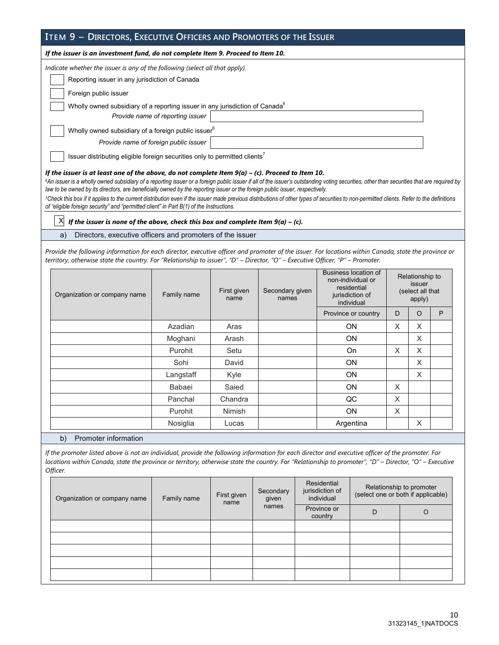| ITEM 9 - DIRECTORS, EXECUTIVE OFFICERS AND PROMOTERS OF THE ISSUER                                  |  |  |  |  |  |
|-----------------------------------------------------------------------------------------------------|--|--|--|--|--|
| If the issuer is an investment fund, do not complete Item 9. Proceed to Item 10.                    |  |  |  |  |  |
| Indicate whether the issuer is any of the following (select all that apply).                        |  |  |  |  |  |
| Reporting issuer in any jurisdiction of Canada                                                      |  |  |  |  |  |
| Foreign public issuer                                                                               |  |  |  |  |  |
| Wholly owned subsidiary of a reporting issuer in any jurisdiction of Canada <sup>6</sup>            |  |  |  |  |  |
| Provide name of reporting issuer                                                                    |  |  |  |  |  |
| Wholly owned subsidiary of a foreign public issuer <sup>6</sup>                                     |  |  |  |  |  |
| Provide name of foreign public issuer                                                               |  |  |  |  |  |
| Issuer distributing eligible foreign securities only to permitted clients <sup>7</sup>              |  |  |  |  |  |
| If the issuer is at least one of the above, do not complete Item $9(a) - (c)$ . Proceed to Item 10. |  |  |  |  |  |

<sup>6</sup>An issuer is a wholly owned subsidiary of a reporting issuer or a foreign public issuer if all of the issuer's outstanding voting securities, other than securities that are required by *law to be owned by its directors, are beneficially owned by the reporting issuer or the foreign public issuer, respectively.* 

*<sup>7</sup>Check this box if it applies to the current distribution even if the issuer made previous distributions of other types of securities to non-permitted clients. Refer to the definitions of "eligible foreign security" and "permitted client" in Part B(1) of the Instructions.*

 $X$  *If the issuer is none of the above, check this box and complete Item 9(a) – (c).* 

a) Directors, executive officers and promoters of the issuer

*Provide the following information for each director, executive officer and promoter of the issuer. For locations within Canada, state the province or territory, otherwise state the country. For "Relationship to issuer", "D" – Director, "O" – Executive Officer, "P" – Promoter.* 

| Organization or company name | Family name | First given<br>name | Secondary given<br>names | Business location of<br>non-individual or<br>residential<br>jurisdiction of<br>individual |   | Relationship to<br>issuer<br>(select all that<br>apply) |   |
|------------------------------|-------------|---------------------|--------------------------|-------------------------------------------------------------------------------------------|---|---------------------------------------------------------|---|
|                              |             |                     |                          | Province or country                                                                       | D | $\circ$                                                 | P |
|                              | Azadian     | Aras                |                          | <b>ON</b>                                                                                 | X | X                                                       |   |
|                              | Moghani     | Arash               |                          | <b>ON</b>                                                                                 |   | X                                                       |   |
|                              | Purohit     | Setu                |                          | On                                                                                        | X | X                                                       |   |
|                              | Sohi        | David               |                          | <b>ON</b>                                                                                 | X |                                                         |   |
|                              | Langstaff   | Kyle                |                          | <b>ON</b>                                                                                 |   | X                                                       |   |
|                              | Babaei      | Saied               |                          | <b>ON</b><br>$\times$                                                                     |   |                                                         |   |
|                              | Panchal     | Chandra             |                          | QC                                                                                        | X |                                                         |   |
|                              | Purohit     | <b>Nimish</b>       |                          | <b>ON</b>                                                                                 | X |                                                         |   |
|                              | Nosiglia    | Lucas               |                          | Argentina                                                                                 |   | X                                                       |   |

b) Promoter information

*If the promoter listed above is not an individual, provide the following information for each director and executive officer of the promoter. For locations within Canada, state the province or territory, otherwise state the country. For "Relationship to promoter", "D" – Director, "O" – Executive Officer.* 

| Organization or company name | Family name | First given<br>name | Secondary<br>given | Residential<br>jurisdiction of<br>individual | Relationship to promoter<br>(select one or both if applicable) |  |
|------------------------------|-------------|---------------------|--------------------|----------------------------------------------|----------------------------------------------------------------|--|
|                              |             |                     | names              | Province or<br>country                       | D                                                              |  |
|                              |             |                     |                    |                                              |                                                                |  |
|                              |             |                     |                    |                                              |                                                                |  |
|                              |             |                     |                    |                                              |                                                                |  |
|                              |             |                     |                    |                                              |                                                                |  |
|                              |             |                     |                    |                                              |                                                                |  |